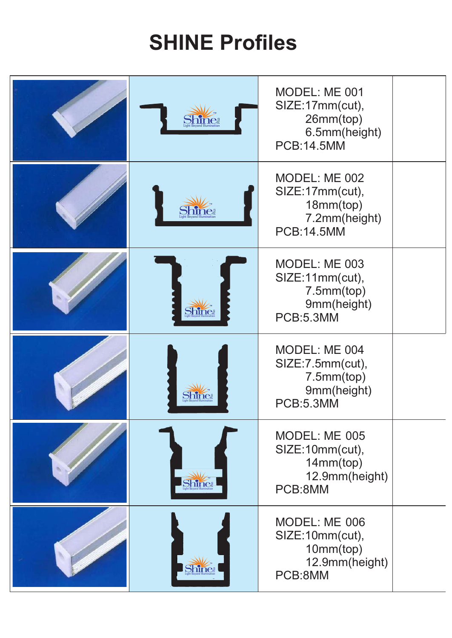## **SHINE Profiles**

|              | MODEL: ME 001<br>SIZE:17mm(cut),<br>26mm(top)<br>6.5mm(height)<br><b>PCB:14.5MM</b> |  |
|--------------|-------------------------------------------------------------------------------------|--|
|              | MODEL: ME 002<br>SIZE:17mm(cut),<br>18mm(top)<br>7.2mm(height)<br><b>PCB:14.5MM</b> |  |
|              | MODEL: ME 003<br>SIZE:11mm(cut),<br>7.5mm(top)<br>9mm(height)<br>PCB:5.3MM          |  |
| <b>Bhine</b> | MODEL: ME 004<br>SIZE:7.5mm(cut),<br>7.5mm(top)<br>9mm(height)<br><b>PCB:5.3MM</b>  |  |
| Shine        | MODEL: ME 005<br>SIZE:10mm(cut),<br>14mm(top)<br>12.9mm(height)<br>PCB:8MM          |  |
| Shine        | MODEL: ME 006<br>SIZE:10mm(cut),<br>10mm(top)<br>12.9mm(height)<br>PCB:8MM          |  |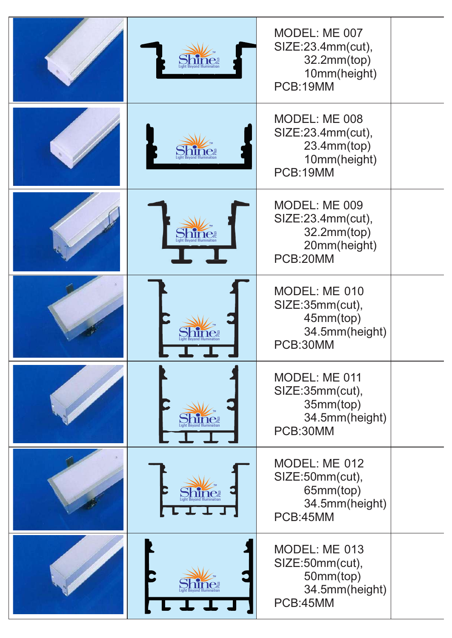|                                          | MODEL: ME 007<br>SIZE:23.4mm(cut),<br>32.2mm(top)<br>10mm(height)<br>PCB:19MM |  |
|------------------------------------------|-------------------------------------------------------------------------------|--|
|                                          | MODEL: ME 008<br>SIZE:23.4mm(cut),<br>23.4mm(top)<br>10mm(height)<br>PCB:19MM |  |
| ne                                       | MODEL: ME 009<br>SIZE:23.4mm(cut),<br>32.2mm(top)<br>20mm(height)<br>PCB:20MM |  |
|                                          | MODEL: ME 010<br>SIZE:35mm(cut),<br>45mm(top)<br>34.5mm(height)<br>PCB:30MM   |  |
|                                          | MODEL: ME 011<br>SIZE:35mm(cut),<br>35mm(top)<br>34.5mm(height)<br>PCB:30MM   |  |
| ight Bevond Illumination<br><b>TELET</b> | MODEL: ME 012<br>SIZE:50mm(cut),<br>65mm(top)<br>34.5mm(height)<br>PCB:45MM   |  |
|                                          | MODEL: ME 013<br>SIZE:50mm(cut),<br>50mm(top)<br>34.5mm(height)<br>PCB:45MM   |  |